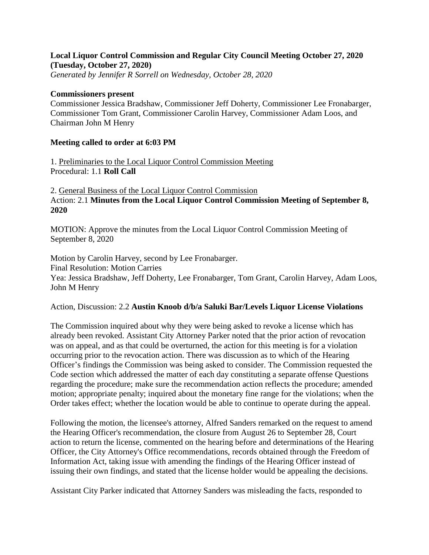## **Local Liquor Control Commission and Regular City Council Meeting October 27, 2020 (Tuesday, October 27, 2020)**

*Generated by Jennifer R Sorrell on Wednesday, October 28, 2020*

## **Commissioners present**

Commissioner Jessica Bradshaw, Commissioner Jeff Doherty, Commissioner Lee Fronabarger, Commissioner Tom Grant, Commissioner Carolin Harvey, Commissioner Adam Loos, and Chairman John M Henry

## **Meeting called to order at 6:03 PM**

1. Preliminaries to the Local Liquor Control Commission Meeting Procedural: 1.1 **Roll Call**

2. General Business of the Local Liquor Control Commission Action: 2.1 **Minutes from the Local Liquor Control Commission Meeting of September 8, 2020**

MOTION: Approve the minutes from the Local Liquor Control Commission Meeting of September 8, 2020

Motion by Carolin Harvey, second by Lee Fronabarger. Final Resolution: Motion Carries Yea: Jessica Bradshaw, Jeff Doherty, Lee Fronabarger, Tom Grant, Carolin Harvey, Adam Loos, John M Henry

Action, Discussion: 2.2 **Austin Knoob d/b/a Saluki Bar/Levels Liquor License Violations**

The Commission inquired about why they were being asked to revoke a license which has already been revoked. Assistant City Attorney Parker noted that the prior action of revocation was on appeal, and as that could be overturned, the action for this meeting is for a violation occurring prior to the revocation action. There was discussion as to which of the Hearing Officer's findings the Commission was being asked to consider. The Commission requested the Code section which addressed the matter of each day constituting a separate offense Questions regarding the procedure; make sure the recommendation action reflects the procedure; amended motion; appropriate penalty; inquired about the monetary fine range for the violations; when the Order takes effect; whether the location would be able to continue to operate during the appeal.

Following the motion, the licensee's attorney, Alfred Sanders remarked on the request to amend the Hearing Officer's recommendation, the closure from August 26 to September 28, Court action to return the license, commented on the hearing before and determinations of the Hearing Officer, the City Attorney's Office recommendations, records obtained through the Freedom of Information Act, taking issue with amending the findings of the Hearing Officer instead of issuing their own findings, and stated that the license holder would be appealing the decisions.

Assistant City Parker indicated that Attorney Sanders was misleading the facts, responded to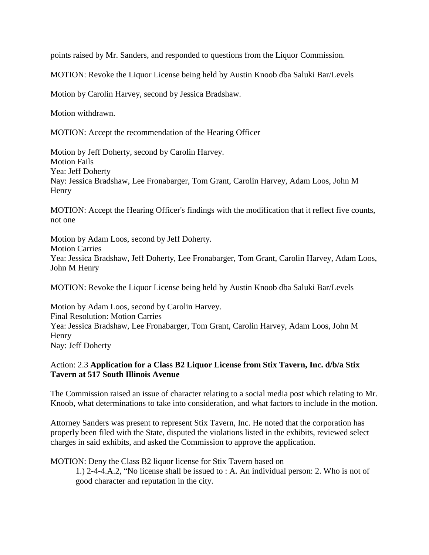points raised by Mr. Sanders, and responded to questions from the Liquor Commission.

MOTION: Revoke the Liquor License being held by Austin Knoob dba Saluki Bar/Levels

Motion by Carolin Harvey, second by Jessica Bradshaw.

Motion withdrawn.

MOTION: Accept the recommendation of the Hearing Officer

Motion by Jeff Doherty, second by Carolin Harvey. Motion Fails Yea: Jeff Doherty Nay: Jessica Bradshaw, Lee Fronabarger, Tom Grant, Carolin Harvey, Adam Loos, John M Henry

MOTION: Accept the Hearing Officer's findings with the modification that it reflect five counts, not one

Motion by Adam Loos, second by Jeff Doherty. Motion Carries Yea: Jessica Bradshaw, Jeff Doherty, Lee Fronabarger, Tom Grant, Carolin Harvey, Adam Loos, John M Henry

MOTION: Revoke the Liquor License being held by Austin Knoob dba Saluki Bar/Levels

Motion by Adam Loos, second by Carolin Harvey. Final Resolution: Motion Carries Yea: Jessica Bradshaw, Lee Fronabarger, Tom Grant, Carolin Harvey, Adam Loos, John M Henry Nay: Jeff Doherty

## Action: 2.3 **Application for a Class B2 Liquor License from Stix Tavern, Inc. d/b/a Stix Tavern at 517 South Illinois Avenue**

The Commission raised an issue of character relating to a social media post which relating to Mr. Knoob, what determinations to take into consideration, and what factors to include in the motion.

Attorney Sanders was present to represent Stix Tavern, Inc. He noted that the corporation has properly been filed with the State, disputed the violations listed in the exhibits, reviewed select charges in said exhibits, and asked the Commission to approve the application.

MOTION: Deny the Class B2 liquor license for Stix Tavern based on

1.) 2-4-4.A.2, "No license shall be issued to : A. An individual person: 2. Who is not of good character and reputation in the city.